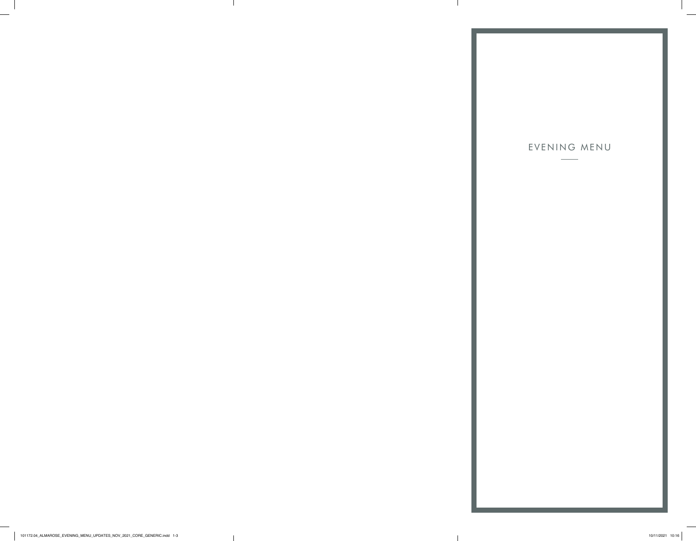# EVENING MENU

101172.04\_ALMAROSE\_EVENING\_MENU\_UPDATES\_NOV\_2021\_CORE\_GENERIC.indd 1-3 10/11/2021 10:16